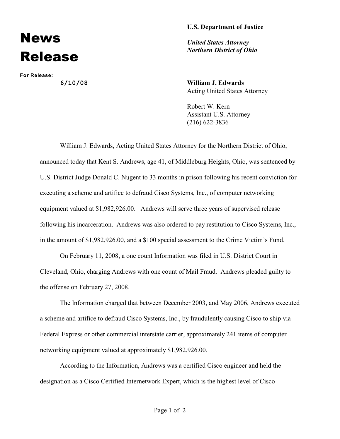## **U.S. Department of Justice**

## News Release

**For Release:**

*United States Attorney Northern District of Ohio*

**6/10/08 William J. Edwards** Acting United States Attorney

> Robert W. Kern Assistant U.S. Attorney (216) 622-3836

William J. Edwards, Acting United States Attorney for the Northern District of Ohio, announced today that Kent S. Andrews, age 41, of Middleburg Heights, Ohio, was sentenced by U.S. District Judge Donald C. Nugent to 33 months in prison following his recent conviction for executing a scheme and artifice to defraud Cisco Systems, Inc., of computer networking equipment valued at \$1,982,926.00. Andrews will serve three years of supervised release following his incarceration. Andrews was also ordered to pay restitution to Cisco Systems, Inc., in the amount of \$1,982,926.00, and a \$100 special assessment to the Crime Victim's Fund.

On February 11, 2008, a one count Information was filed in U.S. District Court in Cleveland, Ohio, charging Andrews with one count of Mail Fraud. Andrews pleaded guilty to the offense on February 27, 2008.

The Information charged that between December 2003, and May 2006, Andrews executed a scheme and artifice to defraud Cisco Systems, Inc., by fraudulently causing Cisco to ship via Federal Express or other commercial interstate carrier, approximately 241 items of computer networking equipment valued at approximately \$1,982,926.00.

According to the Information, Andrews was a certified Cisco engineer and held the designation as a Cisco Certified Internetwork Expert, which is the highest level of Cisco